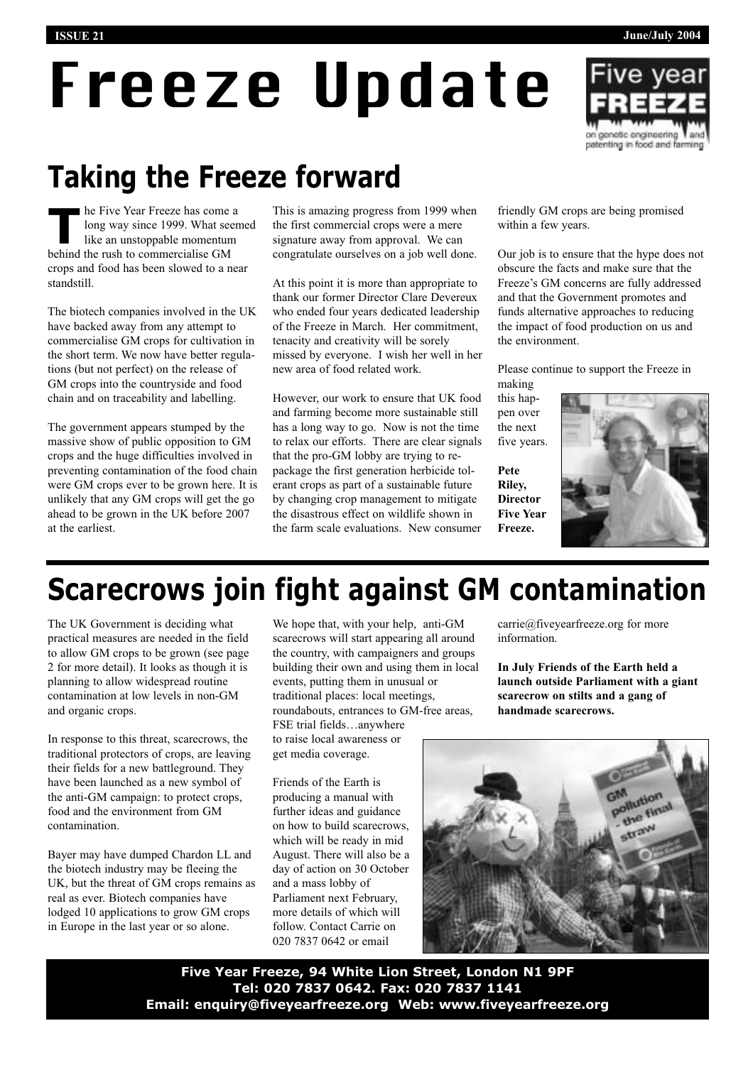# Freeze Update



### **Taking the Freeze forward**

**THE FIVE Year Freeze has come a**<br>long way since 1999. What see<br>like an unstoppable momentum<br>hebind the much to commonication CM long way since 1999. What seemed like an unstoppable momentum behind the rush to commercialise GM crops and food has been slowed to a near standstill.

The biotech companies involved in the UK have backed away from any attempt to commercialise GM crops for cultivation in the short term. We now have better regulations (but not perfect) on the release of GM crops into the countryside and food chain and on traceability and labelling.

The government appears stumped by the massive show of public opposition to GM crops and the huge difficulties involved in preventing contamination of the food chain were GM crops ever to be grown here. It is unlikely that any GM crops will get the go ahead to be grown in the UK before 2007 at the earliest.

This is amazing progress from 1999 when the first commercial crops were a mere signature away from approval. We can congratulate ourselves on a job well done.

At this point it is more than appropriate to thank our former Director Clare Devereux who ended four years dedicated leadership of the Freeze in March. Her commitment, tenacity and creativity will be sorely missed by everyone. I wish her well in her new area of food related work.

However, our work to ensure that UK food and farming become more sustainable still has a long way to go. Now is not the time to relax our efforts. There are clear signals that the pro-GM lobby are trying to repackage the first generation herbicide tolerant crops as part of a sustainable future by changing crop management to mitigate the disastrous effect on wildlife shown in the farm scale evaluations. New consumer friendly GM crops are being promised within a few years.

Our job is to ensure that the hype does not obscure the facts and make sure that the Freeze's GM concerns are fully addressed and that the Government promotes and funds alternative approaches to reducing the impact of food production on us and the environment.

Please continue to support the Freeze in making

this happen over the next five years.

**Pete Riley, Director Five Year Freeze.**



### **Scarecrows join fight against GM contamination**

The UK Government is deciding what practical measures are needed in the field to allow GM crops to be grown (see page 2 for more detail). It looks as though it is planning to allow widespread routine contamination at low levels in non-GM and organic crops.

In response to this threat, scarecrows, the traditional protectors of crops, are leaving their fields for a new battleground. They have been launched as a new symbol of the anti-GM campaign: to protect crops, food and the environment from GM contamination.

Bayer may have dumped Chardon LL and the biotech industry may be fleeing the UK, but the threat of GM crops remains as real as ever. Biotech companies have lodged 10 applications to grow GM crops in Europe in the last year or so alone.

We hope that, with your help, anti-GM scarecrows will start appearing all around the country, with campaigners and groups building their own and using them in local events, putting them in unusual or traditional places: local meetings, roundabouts, entrances to GM-free areas, FSE trial fields…anywhere

to raise local awareness or get media coverage.

Friends of the Earth is producing a manual with further ideas and guidance on how to build scarecrows, which will be ready in mid August. There will also be a day of action on 30 October and a mass lobby of Parliament next February, more details of which will follow. Contact Carrie on 020 7837 0642 or email

carrie@fiveyearfreeze.org for more information.

**In July Friends of the Earth held a launch outside Parliament with a giant scarecrow on stilts and a gang of handmade scarecrows.**



**Five Year Freeze, 94 White Lion Street, London N1 9PF Tel: 020 7837 0642. Fax: 020 7837 1141 Email: enquiry@fiveyearfreeze.org Web: www.fiveyearfreeze.org**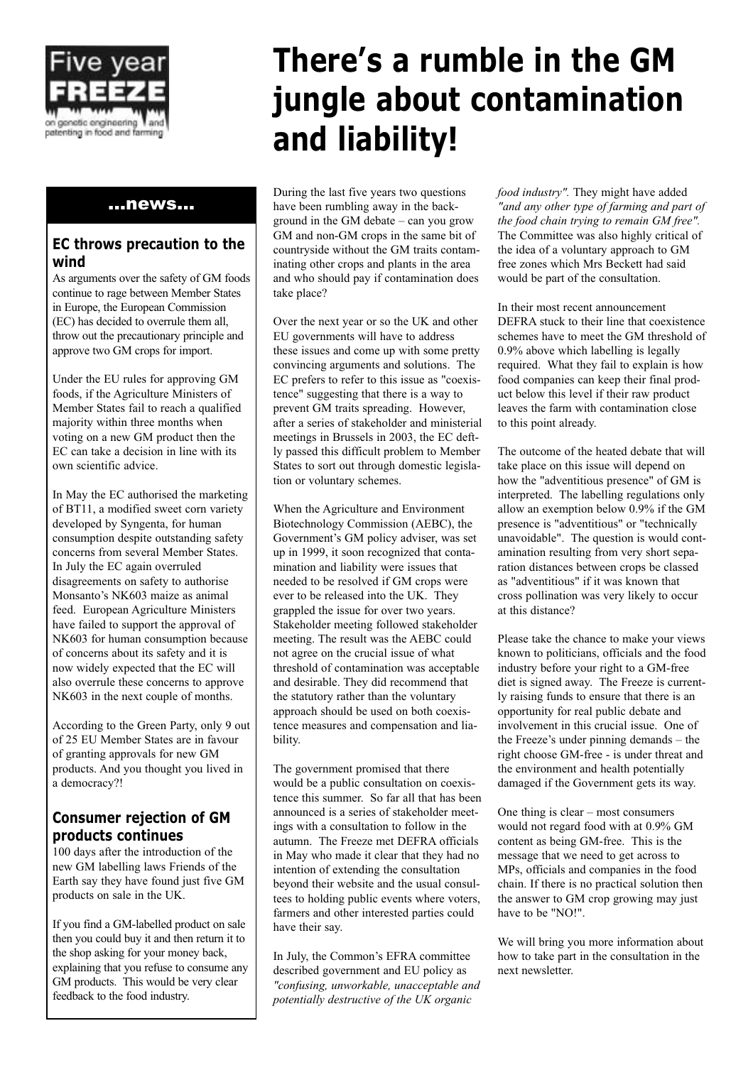

#### ...news...

#### **EC throws precaution to the wind**

As arguments over the safety of GM foods continue to rage between Member States in Europe, the European Commission (EC) has decided to overrule them all, throw out the precautionary principle and approve two GM crops for import.

Under the EU rules for approving GM foods, if the Agriculture Ministers of Member States fail to reach a qualified majority within three months when voting on a new GM product then the EC can take a decision in line with its own scientific advice.

In May the EC authorised the marketing of BT11, a modified sweet corn variety developed by Syngenta, for human consumption despite outstanding safety concerns from several Member States. In July the EC again overruled disagreements on safety to authorise Monsanto's NK603 maize as animal feed. European Agriculture Ministers have failed to support the approval of NK603 for human consumption because of concerns about its safety and it is now widely expected that the EC will also overrule these concerns to approve NK603 in the next couple of months.

According to the Green Party, only 9 out of 25 EU Member States are in favour of granting approvals for new GM products. And you thought you lived in a democracy?!

#### **Consumer rejection of GM products continues**

100 days after the introduction of the new GM labelling laws Friends of the Earth say they have found just five GM products on sale in the UK.

If you find a GM-labelled product on sale then you could buy it and then return it to the shop asking for your money back, explaining that you refuse to consume any GM products. This would be very clear feedback to the food industry.

# **There's a rumble in the GM jungle about contamination and liability!**

During the last five years two questions have been rumbling away in the background in the GM debate – can you grow GM and non-GM crops in the same bit of countryside without the GM traits contaminating other crops and plants in the area and who should pay if contamination does take place?

Over the next year or so the UK and other EU governments will have to address these issues and come up with some pretty convincing arguments and solutions. The EC prefers to refer to this issue as "coexistence" suggesting that there is a way to prevent GM traits spreading. However, after a series of stakeholder and ministerial meetings in Brussels in 2003, the EC deftly passed this difficult problem to Member States to sort out through domestic legislation or voluntary schemes.

When the Agriculture and Environment Biotechnology Commission (AEBC), the Government's GM policy adviser, was set up in 1999, it soon recognized that contamination and liability were issues that needed to be resolved if GM crops were ever to be released into the UK. They grappled the issue for over two years. Stakeholder meeting followed stakeholder meeting. The result was the AEBC could not agree on the crucial issue of what threshold of contamination was acceptable and desirable. They did recommend that the statutory rather than the voluntary approach should be used on both coexistence measures and compensation and liability.

The government promised that there would be a public consultation on coexistence this summer. So far all that has been announced is a series of stakeholder meetings with a consultation to follow in the autumn. The Freeze met DEFRA officials in May who made it clear that they had no intention of extending the consultation beyond their website and the usual consultees to holding public events where voters, farmers and other interested parties could have their say.

In July, the Common's EFRA committee described government and EU policy as *"confusing, unworkable, unacceptable and potentially destructive of the UK organic*

*food industry".* They might have added *"and any other type of farming and part of the food chain trying to remain GM free".* The Committee was also highly critical of the idea of a voluntary approach to GM free zones which Mrs Beckett had said would be part of the consultation.

In their most recent announcement DEFRA stuck to their line that coexistence schemes have to meet the GM threshold of 0.9% above which labelling is legally required. What they fail to explain is how food companies can keep their final product below this level if their raw product leaves the farm with contamination close to this point already.

The outcome of the heated debate that will take place on this issue will depend on how the "adventitious presence" of GM is interpreted. The labelling regulations only allow an exemption below 0.9% if the GM presence is "adventitious" or "technically unavoidable". The question is would contamination resulting from very short separation distances between crops be classed as "adventitious" if it was known that cross pollination was very likely to occur at this distance?

Please take the chance to make your views known to politicians, officials and the food industry before your right to a GM-free diet is signed away. The Freeze is currently raising funds to ensure that there is an opportunity for real public debate and involvement in this crucial issue. One of the Freeze's under pinning demands – the right choose GM-free - is under threat and the environment and health potentially damaged if the Government gets its way.

One thing is clear – most consumers would not regard food with at 0.9% GM content as being GM-free. This is the message that we need to get across to MPs, officials and companies in the food chain. If there is no practical solution then the answer to GM crop growing may just have to be "NO!".

We will bring you more information about how to take part in the consultation in the next newsletter.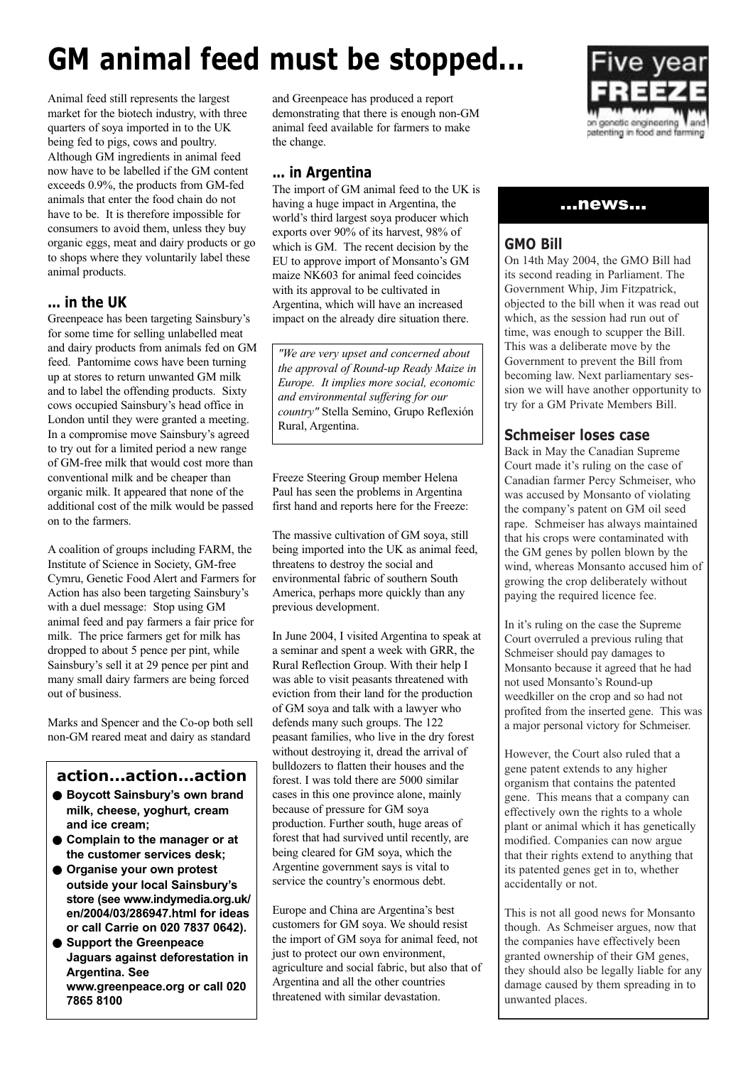## **GM animal feed must be stopped...**

Animal feed still represents the largest market for the biotech industry, with three quarters of soya imported in to the UK being fed to pigs, cows and poultry. Although GM ingredients in animal feed now have to be labelled if the GM content exceeds 0.9%, the products from GM-fed animals that enter the food chain do not have to be. It is therefore impossible for consumers to avoid them, unless they buy organic eggs, meat and dairy products or go to shops where they voluntarily label these animal products.

#### **... in the UK**

Greenpeace has been targeting Sainsbury's for some time for selling unlabelled meat and dairy products from animals fed on GM feed. Pantomime cows have been turning up at stores to return unwanted GM milk and to label the offending products. Sixty cows occupied Sainsbury's head office in London until they were granted a meeting. In a compromise move Sainsbury's agreed to try out for a limited period a new range of GM-free milk that would cost more than conventional milk and be cheaper than organic milk. It appeared that none of the additional cost of the milk would be passed on to the farmers.

A coalition of groups including FARM, the Institute of Science in Society, GM-free Cymru, Genetic Food Alert and Farmers for Action has also been targeting Sainsbury's with a duel message: Stop using GM animal feed and pay farmers a fair price for milk. The price farmers get for milk has dropped to about 5 pence per pint, while Sainsbury's sell it at 29 pence per pint and many small dairy farmers are being forced out of business.

Marks and Spencer and the Co-op both sell non-GM reared meat and dairy as standard

#### **action...action...action**

- **Boycott Sainsbury's own brand milk, cheese, yoghurt, cream and ice cream;**
- **Complain to the manager or at the customer services desk;**
- **Organise your own protest outside your local Sainsbury's store (see www.indymedia.org.uk/ en/2004/03/286947.html for ideas or call Carrie on 020 7837 0642).**
- **Support the Greenpeace Jaguars against deforestation in Argentina. See www.greenpeace.org or call 020 7865 8100**

and Greenpeace has produced a report demonstrating that there is enough non-GM animal feed available for farmers to make the change.

#### **... in Argentina**

The import of GM animal feed to the UK is having a huge impact in Argentina, the world's third largest soya producer which exports over 90% of its harvest, 98% of which is GM. The recent decision by the EU to approve import of Monsanto's GM maize NK603 for animal feed coincides with its approval to be cultivated in Argentina, which will have an increased impact on the already dire situation there.

*"We are very upset and concerned about the approval of Round-up Ready Maize in Europe. It implies more social, economic and environmental suffering for our country"* Stella Semino, Grupo Reflexión Rural, Argentina.

Freeze Steering Group member Helena Paul has seen the problems in Argentina first hand and reports here for the Freeze:

The massive cultivation of GM soya, still being imported into the UK as animal feed, threatens to destroy the social and environmental fabric of southern South America, perhaps more quickly than any previous development.

In June 2004, I visited Argentina to speak at a seminar and spent a week with GRR, the Rural Reflection Group. With their help I was able to visit peasants threatened with eviction from their land for the production of GM soya and talk with a lawyer who defends many such groups. The 122 peasant families, who live in the dry forest without destroying it, dread the arrival of bulldozers to flatten their houses and the forest. I was told there are 5000 similar cases in this one province alone, mainly because of pressure for GM soya production. Further south, huge areas of forest that had survived until recently, are being cleared for GM soya, which the Argentine government says is vital to service the country's enormous debt.

Europe and China are Argentina's best customers for GM soya. We should resist the import of GM soya for animal feed, not just to protect our own environment, agriculture and social fabric, but also that of Argentina and all the other countries threatened with similar devastation.



#### ...news...

#### **GMO Bill**

On 14th May 2004, the GMO Bill had its second reading in Parliament. The Government Whip, Jim Fitzpatrick, objected to the bill when it was read out which, as the session had run out of time, was enough to scupper the Bill. This was a deliberate move by the Government to prevent the Bill from becoming law. Next parliamentary session we will have another opportunity to try for a GM Private Members Bill.

#### **Schmeiser loses case**

Back in May the Canadian Supreme Court made it's ruling on the case of Canadian farmer Percy Schmeiser, who was accused by Monsanto of violating the company's patent on GM oil seed rape. Schmeiser has always maintained that his crops were contaminated with the GM genes by pollen blown by the wind, whereas Monsanto accused him of growing the crop deliberately without paying the required licence fee.

In it's ruling on the case the Supreme Court overruled a previous ruling that Schmeiser should pay damages to Monsanto because it agreed that he had not used Monsanto's Round-up weedkiller on the crop and so had not profited from the inserted gene. This was a major personal victory for Schmeiser.

However, the Court also ruled that a gene patent extends to any higher organism that contains the patented gene. This means that a company can effectively own the rights to a whole plant or animal which it has genetically modified. Companies can now argue that their rights extend to anything that its patented genes get in to, whether accidentally or not.

This is not all good news for Monsanto though. As Schmeiser argues, now that the companies have effectively been granted ownership of their GM genes, they should also be legally liable for any damage caused by them spreading in to unwanted places.